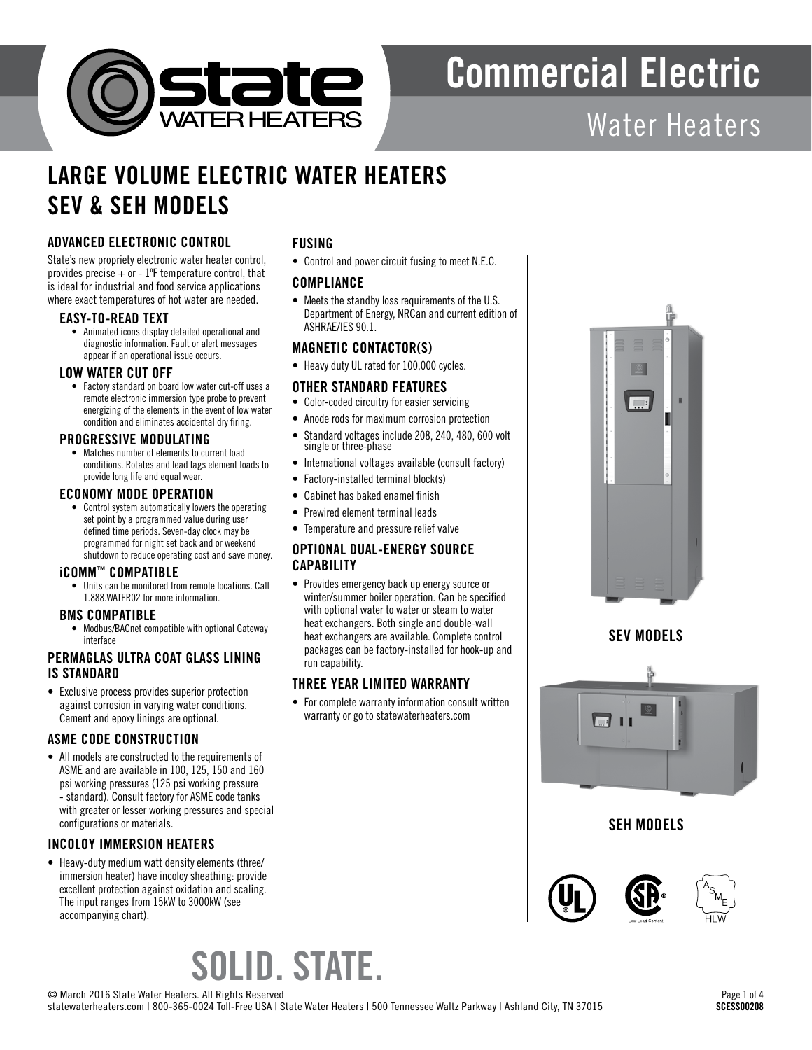

# Commercial Electric

# Water Heaters

## LARGE VOLUME ELECTRIC WATER HEATERS SEV & SEH MODELS

### ADVANCED ELECTRONIC CONTROL

State's new propriety electronic water heater control, provides precise  $+$  or  $-1$ <sup>o</sup>F temperature control, that is ideal for industrial and food service applications where exact temperatures of hot water are needed.

#### EASY-TO-READ TEXT

• Animated icons display detailed operational and diagnostic information. Fault or alert messages appear if an operational issue occurs.

#### LOW WATER CUT OFF

• Factory standard on board low water cut-off uses a remote electronic immersion type probe to prevent energizing of the elements in the event of low water condition and eliminates accidental dry firing.

#### PROGRESSIVE MODULATING

• Matches number of elements to current load conditions. Rotates and lead lags element loads to provide long life and equal wear.

#### ECONOMY MODE OPERATION

• Control system automatically lowers the operating set point by a programmed value during user defined time periods. Seven-day clock may be programmed for night set back and or weekend shutdown to reduce operating cost and save money.

#### iCOMM™ COMPATIBLE

• Units can be monitored from remote locations. Call 1.888.WATER02 for more information.

#### BMS COMPATIBLE

• Modbus/BACnet compatible with optional Gateway interface

#### PERMAGLAS ULTRA COAT GLASS LINING IS STANDARD

• Exclusive process provides superior protection against corrosion in varying water conditions. Cement and epoxy linings are optional.

#### ASME CODE CONSTRUCTION

• All models are constructed to the requirements of ASME and are available in 100, 125, 150 and 160 psi working pressures (125 psi working pressure - standard). Consult factory for ASME code tanks with greater or lesser working pressures and special configurations or materials.

#### INCOLOY IMMERSION HEATERS

• Heavy-duty medium watt density elements (three/ immersion heater) have incoloy sheathing: provide excellent protection against oxidation and scaling. The input ranges from 15kW to 3000kW (see accompanying chart).

#### FUSING

• Control and power circuit fusing to meet N.E.C.

#### **COMPLIANCE**

• Meets the standby loss requirements of the U.S. Department of Energy, NRCan and current edition of ASHRAE/IES 90.1.

#### MAGNETIC CONTACTOR(S)

• Heavy duty UL rated for 100,000 cycles.

#### OTHER STANDARD FEATURES

- Color-coded circuitry for easier servicing
- Anode rods for maximum corrosion protection
- Standard voltages include 208, 240, 480, 600 volt single or three-phase
- International voltages available (consult factory)
- Factory-installed terminal block(s)
- Cabinet has baked enamel finish
- Prewired element terminal leads
- Temperature and pressure relief valve

#### OPTIONAL DUAL-ENERGY SOURCE **CAPABILITY**

• Provides emergency back up energy source or winter/summer boiler operation. Can be specified with optional water to water or steam to water heat exchangers. Both single and double-wall heat exchangers are available. Complete control packages can be factory-installed for hook-up and run capability.

#### THREE YEAR LIMITED WARRANTY

• For complete warranty information consult written warranty or go to statewaterheaters.com



SEV MODELS



### SEH MODELS





# SOLID. STATE.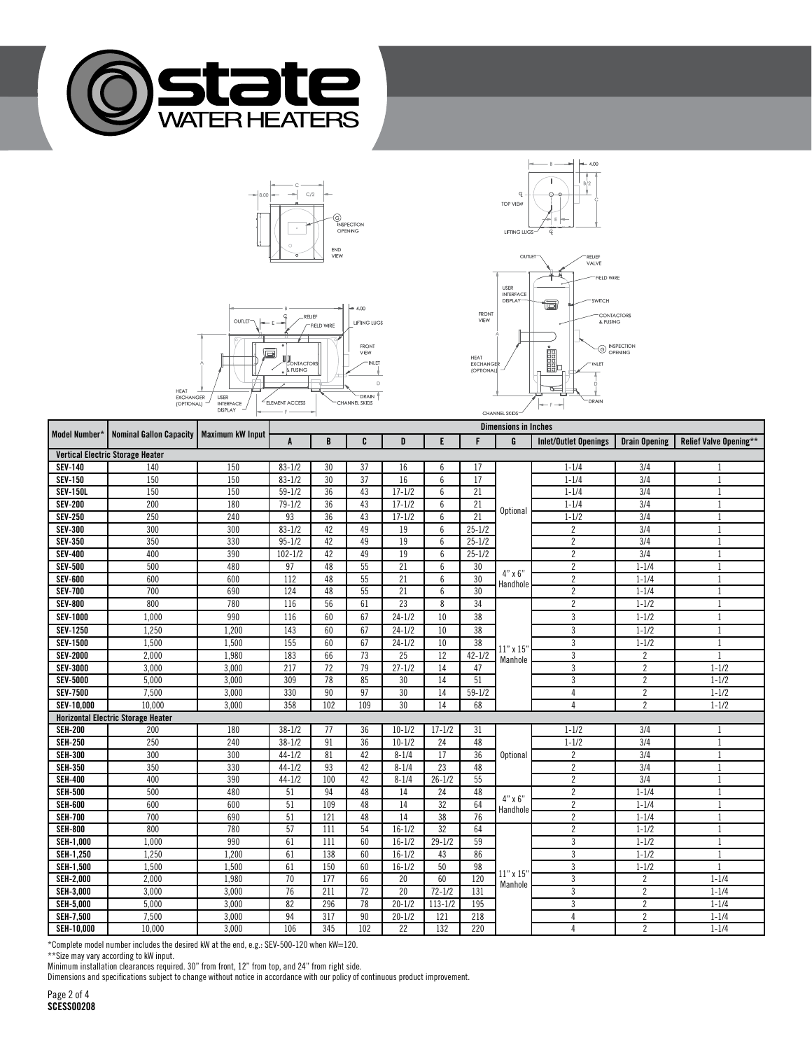







 $\mathbb Q$ 

 $4.00$ 

|                                         |                                                            | <b>UISPLAT</b><br>$\overline{\phantom{0}}$ | $\frac{1}{2} \frac{1}{2} \frac{1}{2} \frac{1}{2} \frac{1}{2} \frac{1}{2} \frac{1}{2} \frac{1}{2} \frac{1}{2} \frac{1}{2} \frac{1}{2} \frac{1}{2} \frac{1}{2} \frac{1}{2} \frac{1}{2} \frac{1}{2} \frac{1}{2} \frac{1}{2} \frac{1}{2} \frac{1}{2} \frac{1}{2} \frac{1}{2} \frac{1}{2} \frac{1}{2} \frac{1}{2} \frac{1}{2} \frac{1}{2} \frac{1}{2} \frac{1}{2} \frac{1}{2} \frac{1}{2} \frac{$<br>CHANNEL SKIDS- |     |                 |                 |                 |                 |                          |                              |                      |                               |  |
|-----------------------------------------|------------------------------------------------------------|--------------------------------------------|----------------------------------------------------------------------------------------------------------------------------------------------------------------------------------------------------------------------------------------------------------------------------------------------------------------------------------------------------------------------------------------------------------------|-----|-----------------|-----------------|-----------------|-----------------|--------------------------|------------------------------|----------------------|-------------------------------|--|
|                                         | Model Number*   Nominal Gallon Capacity   Maximum kW Input |                                            | <b>Dimensions in Inches</b>                                                                                                                                                                                                                                                                                                                                                                                    |     |                 |                 |                 |                 |                          |                              |                      |                               |  |
|                                         |                                                            |                                            | $\mathbf{A}$                                                                                                                                                                                                                                                                                                                                                                                                   | B   | C               | D               | E               | F               | G                        | <b>Inlet/Outlet Openings</b> | <b>Drain Opening</b> | <b>Relief Valve Opening**</b> |  |
| <b>Vertical Electric Storage Heater</b> |                                                            |                                            |                                                                                                                                                                                                                                                                                                                                                                                                                |     |                 |                 |                 |                 |                          |                              |                      |                               |  |
| <b>SEV-140</b>                          | 140                                                        | 150                                        | $83 - 1/2$                                                                                                                                                                                                                                                                                                                                                                                                     | 30  | 37              | 16              | 6               | 17              |                          | $1 - 1/4$                    | 3/4                  | -1                            |  |
| <b>SEV-150</b>                          | 150                                                        | 150                                        | $83 - 1/2$                                                                                                                                                                                                                                                                                                                                                                                                     | 30  | 37              | 16              | $6\overline{6}$ | 17              |                          | $1 - 1/4$                    | 3/4                  | $\overline{1}$                |  |
| <b>SEV-150L</b>                         | 150                                                        | 150                                        | $59 - 1/2$                                                                                                                                                                                                                                                                                                                                                                                                     | 36  | 43              | $17 - 1/2$      | 6               | 21              |                          | $1 - 1/4$                    | $\overline{3/4}$     | $\mathbf{1}$                  |  |
| <b>SEV-200</b>                          | 200                                                        | 180                                        | $79 - 1/2$                                                                                                                                                                                                                                                                                                                                                                                                     | 36  | 43              | $17 - 1/2$      | 6               | 21              | Optional                 | $1 - 1/4$                    | 3/4                  | $\mathbf{1}$                  |  |
| <b>SEV-250</b>                          | 250                                                        | 240                                        | 93                                                                                                                                                                                                                                                                                                                                                                                                             | 36  | 43              | $17 - 1/2$      | 6               | 21              |                          | $1 - 1/2$                    | 3/4                  | 1                             |  |
| <b>SEV-300</b>                          | 300                                                        | 300                                        | $83 - 1/2$                                                                                                                                                                                                                                                                                                                                                                                                     | 42  | 49              | 19              | 6               | $25 - 1/2$      |                          | $\overline{c}$               | 3/4                  | $\mathbf{1}$                  |  |
| <b>SEV-350</b>                          | 350                                                        | 330                                        | $95 - 1/2$                                                                                                                                                                                                                                                                                                                                                                                                     | 42  | 49              | $\overline{19}$ | 6               | $25 - 1/2$      |                          | $\overline{2}$               | $\overline{3/4}$     | $\mathbf{1}$                  |  |
| <b>SEV-400</b>                          | 400                                                        | 390                                        | $102 - 1/2$                                                                                                                                                                                                                                                                                                                                                                                                    | 42  | 49              | $\overline{19}$ | $6\overline{6}$ | $25 - 1/2$      |                          | $\overline{2}$               | 3/4                  |                               |  |
| <b>SEV-500</b>                          | 500                                                        | 480                                        | 97                                                                                                                                                                                                                                                                                                                                                                                                             | 48  | 55              | $\overline{21}$ | 6               | 30              | $4" \times 6"$           | $\overline{c}$               | $1 - 1/4$            | $\mathbf{1}$                  |  |
| <b>SEV-600</b>                          | 600                                                        | 600                                        | 112                                                                                                                                                                                                                                                                                                                                                                                                            | 48  | 55              | 21              | $6\phantom{.}6$ | 30              | Handhole                 | $\overline{2}$               | $1 - 1/4$            | 1                             |  |
| <b>SEV-700</b>                          | 700                                                        | 690                                        | 124                                                                                                                                                                                                                                                                                                                                                                                                            | 48  | 55              | 21              | 6               | $\overline{30}$ |                          | $\overline{2}$               | $1 - 1/4$            | $\mathbf{1}$                  |  |
| <b>SEV-800</b>                          | 800                                                        | 780                                        | 116                                                                                                                                                                                                                                                                                                                                                                                                            | 56  | 61              | $\overline{23}$ | 8               | 34              |                          | $\overline{2}$               | $1 - 1/2$            | $\mathbf{1}$                  |  |
| <b>SEV-1000</b>                         | 1,000                                                      | 990                                        | 116                                                                                                                                                                                                                                                                                                                                                                                                            | 60  | 67              | $24 - 1/2$      | 10              | 38              |                          | 3                            | $1 - 1/2$            | $\mathbf{1}$                  |  |
| <b>SEV-1250</b>                         | 1,250                                                      | 1,200                                      | 143                                                                                                                                                                                                                                                                                                                                                                                                            | 60  | 67              | $24 - 1/2$      | 10              | 38              |                          | 3                            | $1 - 1/2$            | $\mathbf{1}$                  |  |
| <b>SEV-1500</b>                         | 1,500                                                      | 1,500                                      | 155                                                                                                                                                                                                                                                                                                                                                                                                            | 60  | 67              | $24 - 1/2$      | 10              | 38              | $11"$ x $15"$<br>Manhole | 3                            | $1 - 1/2$            | $\mathbf{1}$                  |  |
| <b>SEV-2000</b>                         | 2,000                                                      | 1,980                                      | 183                                                                                                                                                                                                                                                                                                                                                                                                            | 66  | $\overline{73}$ | 25              | 12              | $42 - 1/2$      |                          | $\overline{3}$               | $\overline{c}$       | $\mathbf{1}$                  |  |
| <b>SEV-3000</b>                         | 3,000                                                      | 3,000                                      | 217                                                                                                                                                                                                                                                                                                                                                                                                            | 72  | $\overline{79}$ | $27 - 1/2$      | 14              | 47              |                          | $\overline{3}$               | $\overline{2}$       | $1 - 1/2$                     |  |
| <b>SEV-5000</b>                         | 5,000                                                      | 3,000                                      | 309                                                                                                                                                                                                                                                                                                                                                                                                            | 78  | 85              | 30              | 14              | 51              |                          | $\overline{3}$               | $\overline{2}$       | $1 - 1/2$                     |  |
| <b>SEV-7500</b>                         | 7,500                                                      | 3,000                                      | 330                                                                                                                                                                                                                                                                                                                                                                                                            | 90  | 97              | 30              | 14              | $59 - 1/2$      |                          | 4                            | $\overline{2}$       | $1 - 1/2$                     |  |
| SEV-10,000                              | 10.000                                                     | 3,000                                      | 358                                                                                                                                                                                                                                                                                                                                                                                                            | 102 | 109             | 30              | 14              | 68              |                          | $\overline{4}$               | $\overline{2}$       | $1 - 1/2$                     |  |
|                                         | <b>Horizontal Electric Storage Heater</b>                  |                                            |                                                                                                                                                                                                                                                                                                                                                                                                                |     |                 |                 |                 |                 |                          |                              |                      |                               |  |
| <b>SEH-200</b>                          | 200                                                        | 180                                        | $38 - 1/2$                                                                                                                                                                                                                                                                                                                                                                                                     | 77  | 36              | $10 - 1/2$      | $17 - 1/2$      | 31              |                          | $1 - 1/2$                    | 3/4                  | 1                             |  |
| <b>SEH-250</b>                          | 250                                                        | 240                                        | $38 - 1/2$                                                                                                                                                                                                                                                                                                                                                                                                     | 91  | 36              | $10-1/2$        | 24              | 48              |                          | $1 - 1/2$                    | $\overline{3/4}$     | $\mathbf{1}$                  |  |
| <b>SEH-300</b>                          | 300                                                        | 300                                        | $44 - 1/2$                                                                                                                                                                                                                                                                                                                                                                                                     | 81  | 42              | $8 - 1/4$       | 17              | 36              | <b>Optional</b>          | 2                            | 3/4                  | 1                             |  |
| <b>SEH-350</b>                          | 350                                                        | 330                                        | $44 - 1/2$                                                                                                                                                                                                                                                                                                                                                                                                     | 93  | 42              | $8 - 1/4$       | 23              | 48              |                          | $\overline{2}$               | 3/4                  | 1                             |  |
| <b>SEH-400</b>                          | 400                                                        | 390                                        | $44 - 1/2$                                                                                                                                                                                                                                                                                                                                                                                                     | 100 | 42              | $8 - 1/4$       | $26 - 1/2$      | 55              |                          | $\overline{2}$               | $\overline{3/4}$     | $\mathbf{1}$                  |  |
| <b>SEH-500</b>                          | 500                                                        | 480                                        | 51                                                                                                                                                                                                                                                                                                                                                                                                             | 94  | 48              | 14              | 24              | 48              | $4" \times 6"$           | $\overline{c}$               | $1 - 1/4$            | 1                             |  |
| <b>SEH-600</b>                          | 600                                                        | 600                                        | 51                                                                                                                                                                                                                                                                                                                                                                                                             | 109 | 48              | 14              | $\overline{32}$ | 64              | Handhole                 | $\overline{2}$               | $1 - 1/4$            | $\mathbf{1}$                  |  |
| <b>SEH-700</b>                          | 700                                                        | 690                                        | 51                                                                                                                                                                                                                                                                                                                                                                                                             | 121 | 48              | 14              | 38              | 76              |                          | $\overline{2}$               | $1 - 1/4$            | 1                             |  |
| <b>SEII-800</b>                         | 800                                                        | 780                                        | 57                                                                                                                                                                                                                                                                                                                                                                                                             | 111 | 54              | $16 - 1/2$      | 32              | 64              |                          | $\overline{2}$               | $1 - 1/2$            | $\mathbf{1}$                  |  |
| <b>SEH-1,000</b>                        | 1,000                                                      | 990                                        | 61                                                                                                                                                                                                                                                                                                                                                                                                             | 111 | 60              | $16 - 1/2$      | $29 - 1/2$      | 59              |                          | 3                            | $1 - 1/2$            | $\mathbf{1}$                  |  |
| <b>SEH-1,250</b>                        | 1.250                                                      | 1.200                                      | 61                                                                                                                                                                                                                                                                                                                                                                                                             | 138 | 60              | $16 - 1/2$      | 43              | 86              |                          | 3                            | $1 - 1/2$            | $\mathbf{1}$                  |  |
| <b>SEH-1,500</b>                        | 1,500                                                      | 1,500                                      | 61                                                                                                                                                                                                                                                                                                                                                                                                             | 150 | 60              | $16 - 1/2$      | 50              | 98              |                          | 3                            | $1 - 1/2$            | $\mathbf{1}$                  |  |
| <b>SEH-2,000</b>                        | 2,000                                                      | 1,980                                      | 70                                                                                                                                                                                                                                                                                                                                                                                                             | 177 | 66              | 20              | 60              | 120             | $11"$ x $15'$<br>Manhole | 3                            | $\overline{2}$       | $1 - 1/4$                     |  |
| <b>SEH-3,000</b>                        | 3,000                                                      | 3,000                                      | 76                                                                                                                                                                                                                                                                                                                                                                                                             | 211 | 72              | 20              | $72 - 1/2$      | 131             |                          | $\overline{3}$               | $\overline{2}$       | $1 - 1/4$                     |  |
| <b>SEH-5,000</b>                        | 5,000                                                      | 3,000                                      | 82                                                                                                                                                                                                                                                                                                                                                                                                             | 296 | $\overline{78}$ | $20 - 1/2$      | $113 - 1/2$     | 195             |                          | 3                            | $\overline{2}$       | $1 - 1/4$                     |  |
| <b>SEH-7,500</b>                        | 7,500                                                      | 3,000                                      | 94                                                                                                                                                                                                                                                                                                                                                                                                             | 317 | 90              | $20 - 1/2$      | 121             | 218             |                          | 4                            | $\overline{c}$       | $1 - 1/4$                     |  |
| SEH-10,000                              | 10,000                                                     | 3,000                                      | 106                                                                                                                                                                                                                                                                                                                                                                                                            | 345 | 102             | $\overline{22}$ | 132             | 220             |                          | 4                            | $\overline{2}$       | $1 - 1/4$                     |  |

\*Complete model number includes the desired kW at the end, e.g.: SEV-500-120 when kW=120.

\*\*Size may vary according to kW input.

Minimum installation clearances required. 30" from front, 12" from top, and 24" from right side.

Dimensions and specifications subject to change without notice in accordance with our policy of continuous product improvement.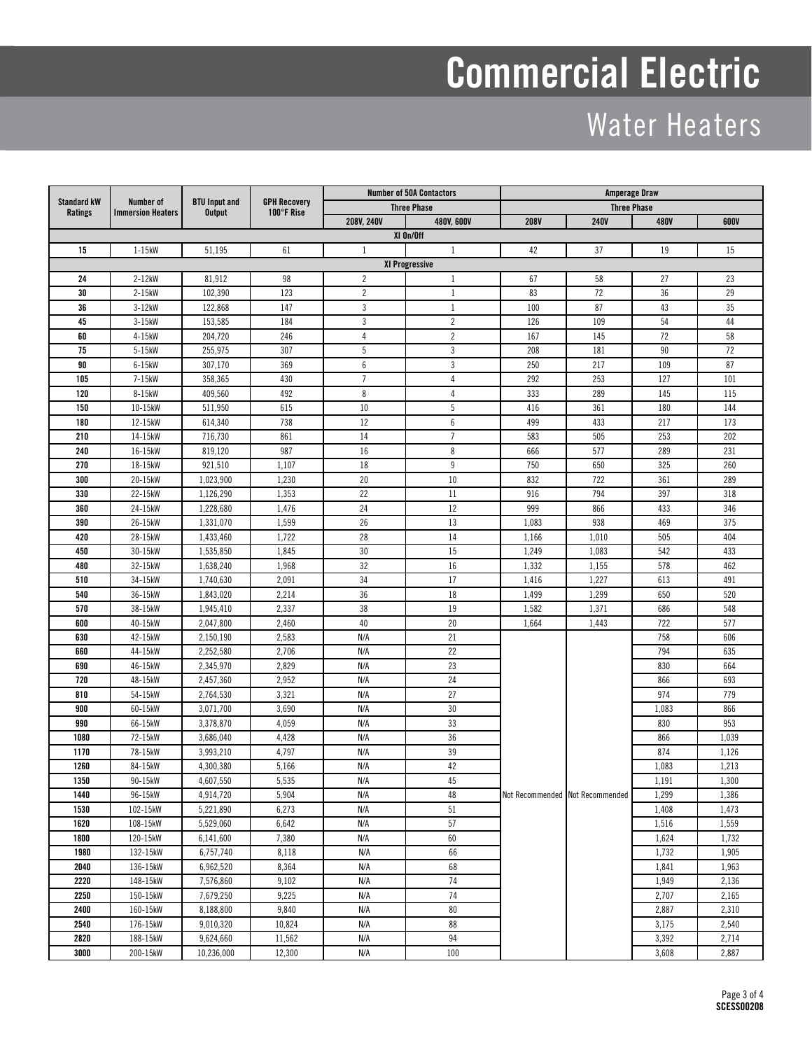# Commercial Electric

# Water Heaters

| <b>Standard kW</b><br><b>Ratings</b> | Number of<br><b>Immersion Heaters</b> |                                       |                                   |                | <b>Number of 50A Contactors</b> | <b>Amperage Draw</b> |                                 |             |       |  |
|--------------------------------------|---------------------------------------|---------------------------------------|-----------------------------------|----------------|---------------------------------|----------------------|---------------------------------|-------------|-------|--|
|                                      |                                       | <b>BTU Input and</b><br><b>Output</b> | <b>GPH Recovery</b><br>100°F Rise |                | <b>Three Phase</b>              | <b>Three Phase</b>   |                                 |             |       |  |
|                                      |                                       |                                       |                                   | 208V, 240V     | 480V, 600V                      | <b>208V</b>          | <b>240V</b>                     | <b>480V</b> | 600V  |  |
|                                      |                                       |                                       |                                   |                | XI On/Off                       |                      |                                 |             |       |  |
| 15                                   | $1-15kW$                              | 51,195                                | 61                                | 1              | 1                               | 42                   | 37                              | 19          | 15    |  |
|                                      | XI Progressive                        |                                       |                                   |                |                                 |                      |                                 |             |       |  |
| 24                                   | $2-12kW$                              | 81,912                                | 98                                | $\overline{c}$ | $\mathbf{1}$                    | 67                   | 58                              | 27          | 23    |  |
| 30                                   | 2-15kW                                | 102,390                               | 123                               | $\overline{c}$ | $\mathbf{1}$                    | 83                   | 72                              | 36          | 29    |  |
| 36                                   | 3-12kW                                | 122,868                               | 147                               | 3              | $\mathbf{1}$                    | 100                  | 87                              | 43          | 35    |  |
| 45                                   | 3-15kW                                | 153,585                               | 184                               | 3              | $\overline{2}$                  | 126                  | 109                             | 54          | 44    |  |
| 60                                   | 4-15kW                                | 204,720                               | 246                               | 4              | $\overline{c}$                  | 167                  | 145                             | 72          | 58    |  |
| 75                                   | 5-15kW                                | 255,975                               | 307                               | 5              | 3                               | 208                  | 181                             | 90          | 72    |  |
| 90                                   | 6-15kW                                | 307.170                               | 369                               | 6              | 3                               | 250                  | 217                             | 109         | 87    |  |
| 105                                  | 7-15kW                                | 358,365                               | 430                               | $\overline{7}$ | 4                               | 292                  | 253                             | 127         | 101   |  |
| 120                                  | 8-15kW                                | 409,560                               | 492                               | 8              | $\sqrt{4}$                      | 333                  | 289                             | 145         | 115   |  |
| 150                                  | 10-15kW                               | 511,950                               | 615                               | 10             | 5                               | 416                  | 361                             | 180         | 144   |  |
| 180                                  | 12-15kW                               | 614,340                               | 738                               | 12             | 6                               | 499                  | 433                             | 217         | 173   |  |
| 210                                  | 14-15kW                               | 716,730                               | 861                               | 14             | $\overline{7}$                  | 583                  | 505                             | 253         | 202   |  |
| 240                                  | 16-15kW                               | 819,120                               | 987                               | 16             | 8                               | 666                  | 577                             | 289         | 231   |  |
| 270                                  | 18-15kW                               | 921,510                               | 1,107                             | $18\,$         | $9\,$                           | 750                  | 650                             | 325         | 260   |  |
| 300                                  | 20-15kW                               | 1,023,900                             | 1,230                             | 20             | 10                              | 832                  | 722                             | 361         | 289   |  |
| 330                                  | 22-15kW                               | 1,126,290                             | 1,353                             | 22             | 11                              | 916                  | 794                             | 397         | 318   |  |
| 360                                  | 24-15kW                               | 1,228,680                             | 1,476                             | 24             | 12                              | 999                  | 866                             | 433         | 346   |  |
| 390                                  | 26-15kW                               | 1,331,070                             | 1,599                             | 26             | 13                              | 1,083                | 938                             | 469         | 375   |  |
| 420                                  | 28-15kW                               | 1,433,460                             | 1,722                             | 28             | 14                              | 1,166                | 1,010                           | 505         | 404   |  |
| 450                                  | 30-15kW                               | 1,535,850                             | 1,845                             | 30             | 15                              | 1,249                | 1,083                           | 542         | 433   |  |
| 480                                  | 32-15kW                               | 1,638,240                             | 1,968                             | 32             | 16                              | 1,332                | 1,155                           | 578         | 462   |  |
| 510                                  | 34-15kW                               | 1,740,630                             | 2,091                             | 34             | 17                              | 1,416                | 1,227                           | 613         | 491   |  |
| 540                                  | 36-15kW                               | 1,843,020                             | 2,214                             | 36             | 18                              | 1,499                | 1,299                           | 650         | 520   |  |
| 570                                  | 38-15kW                               | 1,945,410                             | 2,337                             | 38             | 19                              | 1,582                | 1,371                           | 686         | 548   |  |
| 600                                  | 40-15kW                               | 2,047,800                             | 2,460                             | 40             | 20                              | 1,664                | 1,443                           | 722         | 577   |  |
| 630                                  | 42-15kW                               | 2,150,190                             | 2,583                             | N/A            | 21                              |                      |                                 | 758         | 606   |  |
| 660                                  | 44-15kW                               | 2,252,580                             | 2,706                             | N/A            | 22                              |                      |                                 | 794         | 635   |  |
| 690                                  | 46-15kW                               | 2,345,970                             | 2,829                             | N/A            | 23                              |                      |                                 | 830         | 664   |  |
| 720                                  | 48-15kW                               | 2,457,360                             | 2,952                             | N/A            | 24                              |                      |                                 | 866         | 693   |  |
| 810                                  | 54-15kW                               | 2,764,530                             | 3,321                             | N/A            | 27                              |                      |                                 | 974         | 779   |  |
| 900                                  | 60-15kW                               | 3,071,700                             | 3,690                             | N/A            | 30                              |                      |                                 | 1,083       | 866   |  |
| 990                                  | 66-15kW                               | 3,378,870                             | 4,059                             | N/A            | 33                              |                      |                                 | 830         | 953   |  |
| 1080                                 | 72-15kW                               | 3,686,040                             | 4,428                             | N/A            | 36                              |                      | Not Recommended Not Recommended | 866         | 1,039 |  |
| 1170                                 | 78-15kW                               | 3,993,210                             | 4,797                             | N/A            | 39                              |                      |                                 | 874         | 1,126 |  |
| 1260                                 | 84-15kW                               | 4,300,380                             | 5,166                             | N/A            | 42                              |                      |                                 | 1,083       | 1,213 |  |
| 1350                                 | 90-15kW                               | 4,607,550                             | 5,535                             | N/A            | $45\,$                          |                      |                                 | 1,191       | 1,300 |  |
| 1440                                 | 96-15kW                               | 4,914,720                             | 5,904                             | N/A            | 48                              |                      |                                 | 1,299       | 1,386 |  |
| 1530                                 | 102-15kW                              | 5,221,890                             | 6,273                             | N/A            | 51                              |                      |                                 | 1,408       | 1,473 |  |
| 1620                                 | 108-15kW                              | 5,529,060                             | 6,642                             | N/A            | 57                              |                      |                                 | 1,516       | 1,559 |  |
| 1800                                 | 120-15kW                              | 6,141,600                             | 7,380                             | N/A            | $60\,$                          |                      |                                 | 1,624       | 1,732 |  |
| 1980                                 | 132-15kW                              | 6,757,740                             | 8,118                             | N/A            | 66                              |                      |                                 | 1,732       | 1,905 |  |
| 2040                                 | 136-15kW                              | 6,962,520                             | 8,364                             | N/A            | 68                              |                      |                                 | 1,841       | 1,963 |  |
| 2220                                 | 148-15kW                              | 7,576,860                             | 9,102                             | N/A            | 74                              |                      |                                 | 1,949       | 2,136 |  |
| 2250                                 | 150-15kW                              | 7,679,250                             | 9,225                             | N/A            | 74                              |                      |                                 | 2,707       | 2,165 |  |
| 2400                                 | 160-15kW                              | 8,188,800                             | 9,840                             | N/A            | 80                              |                      |                                 | 2,887       | 2,310 |  |
| 2540                                 | 176-15kW                              | 9,010,320                             | 10,824                            | N/A            | 88                              |                      |                                 | 3,175       | 2,540 |  |
| 2820                                 | 188-15kW                              | 9,624,660                             | 11,562                            | N/A            | 94                              |                      |                                 | 3,392       | 2,714 |  |
| 3000                                 | 200-15kW                              | 10,236,000                            | 12,300                            | N/A            | 100                             |                      |                                 | 3,608       | 2,887 |  |